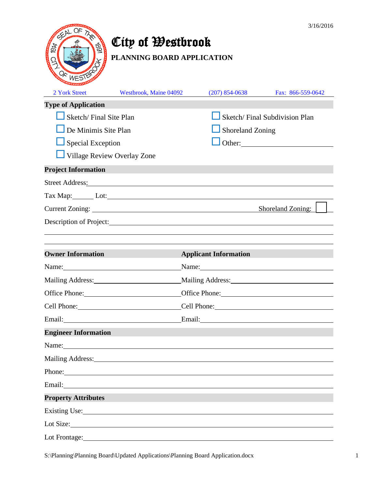

# City of Westbrook

**PLANNING BOARD APPLICATION**

| <b>Winnippo</b>                                                                                                                                                                                                                |                                                                                                                                                                                                                                |                               |                                          |
|--------------------------------------------------------------------------------------------------------------------------------------------------------------------------------------------------------------------------------|--------------------------------------------------------------------------------------------------------------------------------------------------------------------------------------------------------------------------------|-------------------------------|------------------------------------------|
| 2 York Street                                                                                                                                                                                                                  | Westbrook, Maine 04092                                                                                                                                                                                                         | $(207)$ 854-0638              | Fax: 866-559-0642                        |
| <b>Type of Application</b>                                                                                                                                                                                                     |                                                                                                                                                                                                                                |                               |                                          |
| Sketch/Final Site Plan                                                                                                                                                                                                         |                                                                                                                                                                                                                                | Sketch/Final Subdivision Plan |                                          |
| $\Box$ De Minimis Site Plan                                                                                                                                                                                                    |                                                                                                                                                                                                                                | Shoreland Zoning              |                                          |
| $\Box$ Special Exception                                                                                                                                                                                                       |                                                                                                                                                                                                                                |                               |                                          |
| Village Review Overlay Zone                                                                                                                                                                                                    |                                                                                                                                                                                                                                |                               |                                          |
| <b>Project Information</b>                                                                                                                                                                                                     |                                                                                                                                                                                                                                |                               |                                          |
|                                                                                                                                                                                                                                | Street Address: No. 2016. The Street Address:                                                                                                                                                                                  |                               |                                          |
|                                                                                                                                                                                                                                | Tax Map: Lot: Lot:                                                                                                                                                                                                             |                               |                                          |
|                                                                                                                                                                                                                                |                                                                                                                                                                                                                                |                               | Shoreland Zoning:                        |
|                                                                                                                                                                                                                                | Description of Project: New York: New York: New York: New York: New York: New York: New York: New York: New York: New York: New York: New York: New York: New York: New York: New York: New York: New York: New York: New York |                               |                                          |
|                                                                                                                                                                                                                                |                                                                                                                                                                                                                                |                               |                                          |
| <b>Owner Information</b>                                                                                                                                                                                                       |                                                                                                                                                                                                                                | <b>Applicant Information</b>  |                                          |
| Name:                                                                                                                                                                                                                          |                                                                                                                                                                                                                                |                               |                                          |
| Mailing Address: 1988 and 1989 and 1989 and 1989 and 1989 and 1989 and 1989 and 1989 and 1989 and 1989 and 198                                                                                                                 |                                                                                                                                                                                                                                |                               | Mailing Address: Manual Mailing Address: |
| Office Phone: 2000                                                                                                                                                                                                             |                                                                                                                                                                                                                                |                               | Office Phone: 2000                       |
|                                                                                                                                                                                                                                |                                                                                                                                                                                                                                |                               |                                          |
| Email: 2008 Contract Contract Contract Contract Contract Contract Contract Contract Contract Contract Contract Contract Contract Contract Contract Contract Contract Contract Contract Contract Contract Contract Contract Con |                                                                                                                                                                                                                                |                               | Email: Email:                            |
| <b>Engineer Information</b>                                                                                                                                                                                                    |                                                                                                                                                                                                                                |                               |                                          |
| Name:                                                                                                                                                                                                                          |                                                                                                                                                                                                                                |                               |                                          |
| Mailing Address:                                                                                                                                                                                                               |                                                                                                                                                                                                                                |                               |                                          |
| Phone:                                                                                                                                                                                                                         |                                                                                                                                                                                                                                |                               |                                          |
| Email:                                                                                                                                                                                                                         |                                                                                                                                                                                                                                |                               |                                          |
| <b>Property Attributes</b>                                                                                                                                                                                                     |                                                                                                                                                                                                                                |                               |                                          |
|                                                                                                                                                                                                                                | Existing Use: The Contract of the Contract of the Contract of the Contract of the Contract of the Contract of the Contract of the Contract of the Contract of the Contract of the Contract of the Contract of the Contract of  |                               |                                          |
|                                                                                                                                                                                                                                | Lot Size:                                                                                                                                                                                                                      |                               |                                          |
| Lot Frontage:                                                                                                                                                                                                                  |                                                                                                                                                                                                                                |                               |                                          |